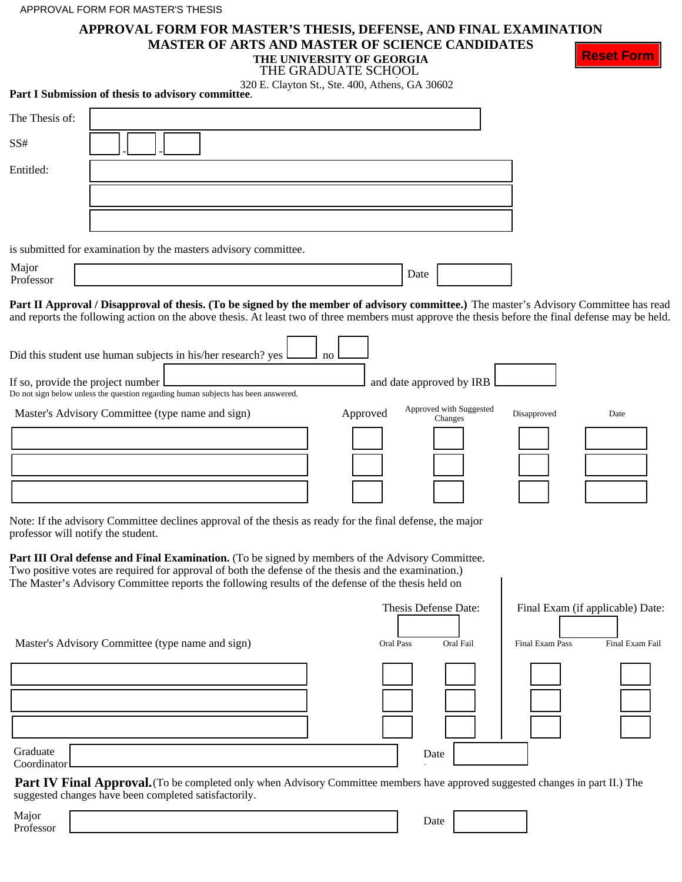# **APPROVAL FORM FOR MASTER'S THESIS, DEFENSE, AND FINAL EXAMINATION**

**MASTER OF ARTS AND MASTER OF SCIENCE CANDIDATES THE UNIVERSITY OF GEORGIA**

| I IIE VAN VEIWILL I VE VIEVANITA |  |
|----------------------------------|--|
| THE GRADUATE SCHOOL              |  |

**Reset Form**

|  |  |  | THE GRADUATE SCHOOL                            |  |
|--|--|--|------------------------------------------------|--|
|  |  |  | 320 E. Clayton St., Ste. 400, Athens, GA 30602 |  |

|                    | Part I Submission of thesis to advisory committee.                                                                                                                                                                                                                                                                                                                                                                                                                                    | $520$ E. Clayton St., Ste. 400, Athens, GA $50002$ |          |      |                                    |             |      |
|--------------------|---------------------------------------------------------------------------------------------------------------------------------------------------------------------------------------------------------------------------------------------------------------------------------------------------------------------------------------------------------------------------------------------------------------------------------------------------------------------------------------|----------------------------------------------------|----------|------|------------------------------------|-------------|------|
| The Thesis of:     |                                                                                                                                                                                                                                                                                                                                                                                                                                                                                       |                                                    |          |      |                                    |             |      |
| SS#                |                                                                                                                                                                                                                                                                                                                                                                                                                                                                                       |                                                    |          |      |                                    |             |      |
| Entitled:          |                                                                                                                                                                                                                                                                                                                                                                                                                                                                                       |                                                    |          |      |                                    |             |      |
|                    |                                                                                                                                                                                                                                                                                                                                                                                                                                                                                       |                                                    |          |      |                                    |             |      |
|                    |                                                                                                                                                                                                                                                                                                                                                                                                                                                                                       |                                                    |          |      |                                    |             |      |
|                    | is submitted for examination by the masters advisory committee.                                                                                                                                                                                                                                                                                                                                                                                                                       |                                                    |          |      |                                    |             |      |
| Major<br>Professor |                                                                                                                                                                                                                                                                                                                                                                                                                                                                                       |                                                    |          | Date |                                    |             |      |
|                    | Part II Approval / Disapproval of thesis. (To be signed by the member of advisory committee.) The master's Advisory Committee has read<br>and reports the following action on the above thesis. At least two of three members must approve the thesis before the final defense may be held.<br>Did this student use human subjects in his/her research? yes<br>If so, provide the project number<br>Do not sign below unless the question regarding human subjects has been answered. | no                                                 |          |      | and date approved by IRB           |             |      |
|                    | Master's Advisory Committee (type name and sign)                                                                                                                                                                                                                                                                                                                                                                                                                                      |                                                    | Approved |      | Approved with Suggested<br>Changes | Disapproved | Date |
|                    | Note: If the advisory Committee declines approval of the thesis as ready for the final defense, the major<br>professor will notify the student.                                                                                                                                                                                                                                                                                                                                       |                                                    |          |      |                                    |             |      |
|                    | Part III Oral defense and Final Examination. (To be signed by members of the Advisory Committee.<br>Two positive votes are required for approval of both the defense of the thesis and the examination.)<br>The Master's Advisory Committee reports the following results of the defense of the thesis held on                                                                                                                                                                        |                                                    |          |      |                                    |             |      |

|                                                  | <b>Thesis Defense Date:</b> | Final Exam (if applicable) Date: |                 |
|--------------------------------------------------|-----------------------------|----------------------------------|-----------------|
| Master's Advisory Committee (type name and sign) | Oral Pass<br>Oral Fail      | Final Exam Pass                  | Final Exam Fail |
|                                                  |                             |                                  |                 |
| Graduate<br>Coordinator                          | Date                        |                                  |                 |

Part IV Final Approval. (To be completed only when Advisory Committee members have approved suggested changes in part II.) The suggested changes have been completed satisfactorily.

| Graduate<br>Coordinator L |                                                                                                                                                               | Date |  |
|---------------------------|---------------------------------------------------------------------------------------------------------------------------------------------------------------|------|--|
|                           | <b>Part IV Final Approval.</b> (To be completed only when Advisory Committee members have approved s<br>suggested changes have been completed satisfactorily. |      |  |
| Major<br>Professor        |                                                                                                                                                               | Date |  |
|                           |                                                                                                                                                               |      |  |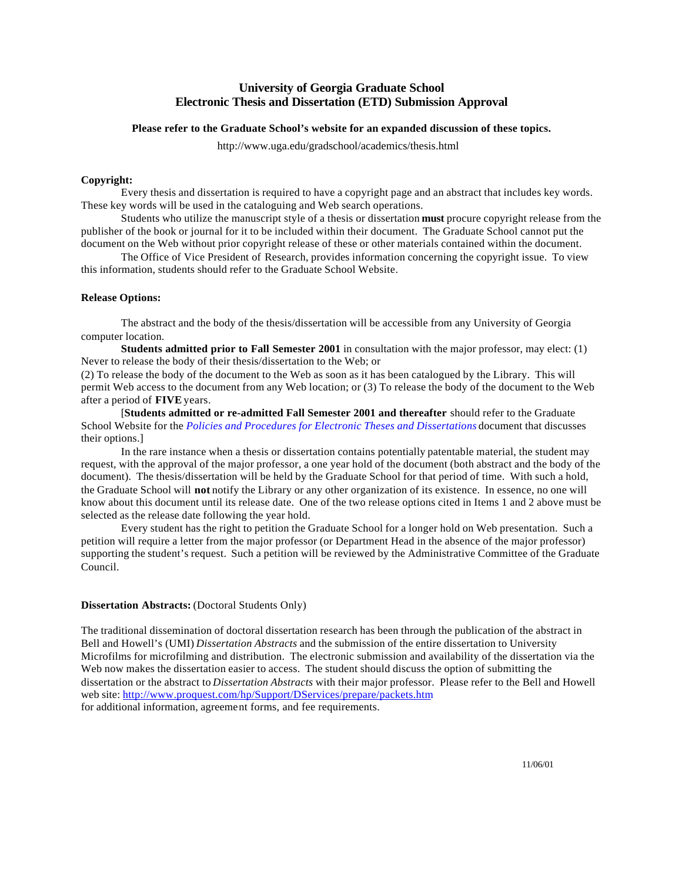## **University of Georgia Graduate School Electronic Thesis and Dissertation (ETD) Submission Approval**

#### **Please refer to the Graduate School's website for an expanded discussion of these topics.**

http://www.uga.edu/gradschool/academics/thesis.html

#### **Copyright:**

Every thesis and dissertation is required to have a copyright page and an abstract that includes key words. These key words will be used in the cataloguing and Web search operations.

Students who utilize the manuscript style of a thesis or dissertation **must** procure copyright release from the publisher of the book or journal for it to be included within their document. The Graduate School cannot put the document on the Web without prior copyright release of these or other materials contained within the document.

The Office of Vice President of Research, provides information concerning the copyright issue. To view this information, students should refer to the Graduate School Website.

#### **Release Options:**

The abstract and the body of the thesis/dissertation will be accessible from any University of Georgia computer location.

**Students admitted prior to Fall Semester 2001** in consultation with the major professor, may elect: (1) Never to release the body of their thesis/dissertation to the Web; or

(2) To release the body of the document to the Web as soon as it has been catalogued by the Library. This will permit Web access to the document from any Web location; or (3) To release the body of the document to the Web after a period of **FIVE** years.

[**Students admitted or re-admitted Fall Semester 2001 and thereafter** should refer to the Graduate School Website for the *[Policies and Procedures for Electronic Theses and Dissertations](http://www.uga.edu/gradschool/forms&publications/etd_policy.pdf)* document that discusses their options.]

In the rare instance when a thesis or dissertation contains potentially patentable material, the student may request, with the approval of the major professor, a one year hold of the document (both abstract and the body of the document). The thesis/dissertation will be held by the Graduate School for that period of time. With such a hold, the Graduate School will **not** notify the Library or any other organization of its existence. In essence, no one will know about this document until its release date. One of the two release options cited in Items 1 and 2 above must be selected as the release date following the year hold.

Every student has the right to petition the Graduate School for a longer hold on Web presentation. Such a petition will require a letter from the major professor (or Department Head in the absence of the major professor) supporting the student's request. Such a petition will be reviewed by the Administrative Committee of the Graduate Council.

#### **Dissertation Abstracts:** (Doctoral Students Only)

The traditional dissemination of doctoral dissertation research has been through the publication of the abstract in Bell and Howell's (UMI) *Dissertation Abstracts* and the submission of the entire dissertation to University Microfilms for microfilming and distribution. The electronic submission and availability of the dissertation via the Web now makes the dissertation easier to access. The student should discuss the option of submitting the dissertation or the abstract to *Dissertation Abstracts* with their major professor. Please refer to the Bell and Howell web site:<http://www.proquest.com/hp/Support/DServices/prepare/packets.htm> for additional information, agreement forms, and fee requirements.